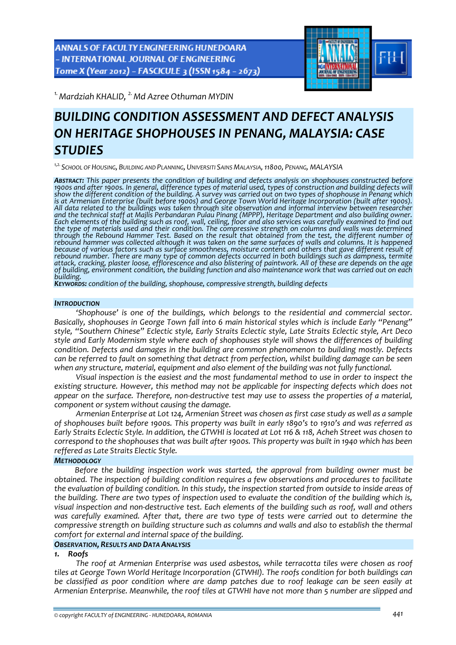ANNALS OF FACULTY ENGINEERING HUNEDOARA - INTERNATIONAL JOURNAL OF ENGINEERING Tome X (Year 2012) - FASCICULE 3 (ISSN 1584 - 2673)



*1.Mardziah KHALID, 2.Md Azree Othuman MYDIN* 

# *BUILDING CONDITION ASSESSMENT AND DEFECT ANALYSIS ON HERITAGE SHOPHOUSES IN PENANG, MALAYSIA: CASE STUDIES*

*1,2.SCHOOL OF HOUSING, BUILDING AND PLANNING, UNIVERSITI SAINS MALAYSIA,11800, PENANG, MALAYSIA*

*ABSTRACT: This paper presents the condition of building and defects analysis on shophouses constructed before* 1900s and after 1900s. In general, difference types of material used, types of construction and building defects will show the different condition of the building. A survey was carried out on two types of shophouse in Penang which is at Armenian Enterprise (built before 1900s) and George Town World Heritage Incorporation (built after 1900s)<br>All data related to the buildings was taken through site observation and informal interview between researcher *and the technical staff at Majlis Perbandaran Pulau Pinang (MPPP), Heritage Department and also building owner.* Each elements of the building such as roof, wall, ceiling, floor and also services was carefully examined to find out the type of materials used and their condition. The compressive strength on columns and walls was determined rebound hammer was collected although it was taken on the same surfaces of walls and columns. It is happened<br>because of various factors such as surface smoothness, moisture content and others that gave different result of<br> attack, cracking, plaster loose, efflorescence and also blistering of paintwork. All of these are depends on the age<br>of building, environment condition, the building function and also maintenance work that was carried out

*building. KEYWORDS: condition of the building, shophouse, compressive strength, building defects*

#### *INTRODUCTION*

*'Shophouse' is one of the buildings, which belongs to the residential and commercial sector. Basically, shophouses in George Town fall into 6 main historical styles which is include Early "Penang" style, "Southern Chinese" Eclectic style, Early Straits Eclectic style, Late Straits Eclectic style, Art Deco style and Early Modernism style where each of shophouses style will shows the differences of building condition. Defects and damages in the building are common phenomenon to building mostly. Defects can be referred to fault on something that detract from perfection, whilst building damage can be seen when any structure, material, equipment and also element of the building was not fully functional.*

*Visual inspection is the easiest and the most fundamental method to use in order to inspect the existing structure. However, this method may not be applicable for inspecting defects which does not* appear on the surface. Therefore, non-destructive test may use to assess the properties of a material. *component or system without causing the damage.* 

*Armenian Enterprise at Lot 124, Armenian Street was chosen as first case study as well as a sample* of shophouses built before 1900s. This property was built in early 1890's to 1910's and was referred as Early Straits Eclectic Style, In addition, the GTWHI is located at Lot 116 & 118. Acheh Street was chosen to correspond to the shophouses that was built after 1900s. This property was built in 1940 which has been *reffered as Late Straits Electic Style.*

# *METHODOLOGY*

*Before the building inspection work was started, the approval from building owner must be obtained. The inspection of building condition requires a few observations and procedures to facilitate* the evaluation of building condition. In this study, the inspection started from outside to inside areas of the building. There are two types of inspection used to evaluate the condition of the building which is, visual inspection and non-destructive test. Each elements of the building such as roof, wall and others *was carefully examined. After that, there are two type of tests were carried out to determine the compressive strength on building structure such as columns and walls and also to establish the thermal comfort for external and internal space of the building.*

#### *OBSERVATION, RESULTS AND DATA ANALYSIS*

## *1. Roofs*

*The roof at Armenian Enterprise was used asbestos, while terracotta tiles were chosen as roof tiles at George Town World Heritage Incorporation (GTWHI). The roofs condition for both buildings can be classified as poor condition where are damp patches due to roof leakage can be seen easily at Armenian Enterprise. Meanwhile, the roof tiles at GTWHI have not more than 5 number are slipped and*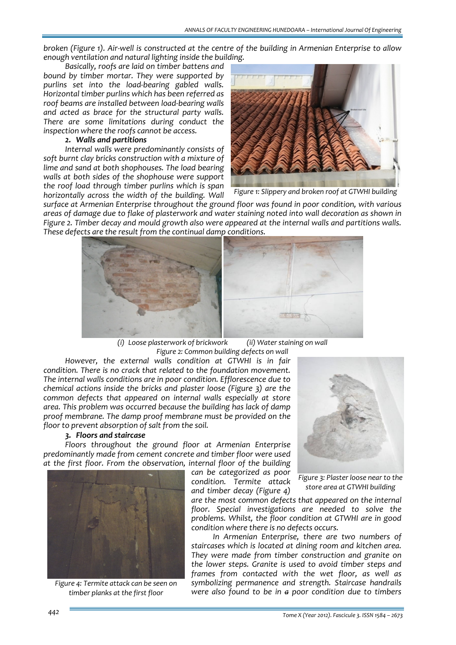broken (Figure 1). Air-well is constructed at the centre of the building in Armenian Enterprise to allow *enough ventilation and natural lighting inside the building.* 

*Basically, roofs are laid on timber battens and bound by timber mortar. They were supported by purlins set into the load‐bearing gabled walls. Horizontal timber purlins which has been referred as roof beams are installed between load‐bearing walls and acted as brace for the structural party walls. There are some limitations during conduct the inspection where the roofs cannot be access.*

#### *2. Walls and partitions*

*Internal walls were predominantly consists of soft burnt clay bricks construction with a mixture of lime and sand at both shophouses. The load bearing walls at both sides of the shophouse were support the roof load through timber purlins which is span horizontally across the width of the building. Wall*



*Figure 1: Slippery and broken roof at GTWHI building*

*surface at Armenian Enterprise throughout the ground floor was found in poor condition, with various* areas of damage due to flake of plasterwork and water staining noted into wall decoration as shown in *Figure 2. Timber decay and mould growth also were appeared at the internal walls and partitions walls. These defects are the result from the continual damp conditions.* 



*(i) Loose plasterwork of brickwork (ii) Water staining on wall Figure 2: Common building defects on wall*

*can be categorized as poor condition. Termite attack and timber decay (Figure 4)*

*However, the external walls condition at GTWHI is in fair condition. There is no crack that related to the foundation movement. The internal walls conditions are in poor condition. Efflorescence due to chemical actions inside the bricks and plaster loose (Figure 3) are the common defects that appeared on internal walls especially at store area. This problem was occurred because the building has lack of damp proof membrane. The damp proof membrane must be provided on the floor to prevent absorption of salt from the soil.* 

#### *3. Floors and staircase*

*Floors throughout the ground floor at Armenian Enterprise predominantly made from cement concrete and timber floor were used at the first floor. From the observation, internal floor of the building*



*Figure 4: Termite attack can be seen on timber planks at the first floor*



*Figure 3: Plaster loose near to the store area at GTWHI building*

*are the most common defects that appeared on the internal floor. Special investigations are needed to solve the problems. Whilst, the floor condition at GTWHI are in good condition where there is no defects occurs.* 

*In Armenian Enterprise, there are two numbers of staircases which is located at dining room and kitchen area. They were made from timber construction and granite on the lower steps. Granite is used to avoid timber steps and frames from contacted with the wet floor, as well as symbolizing permanence and strength. Staircase handrails were also found to be in a poor condition due to timbers*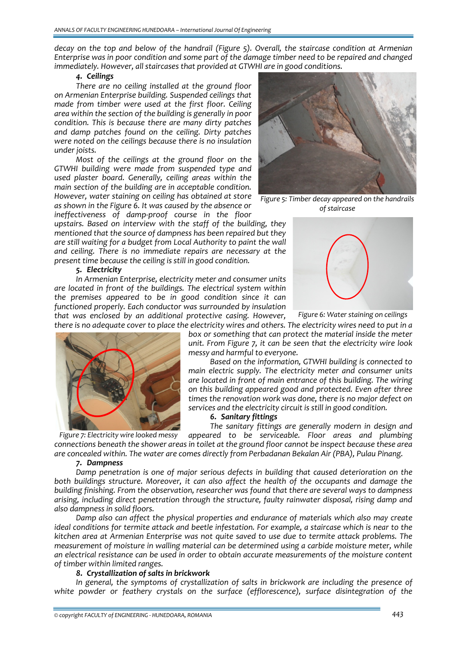*decay on the top and below of the handrail (Figure 5). Overall, the staircase condition at Armenian* Enterprise was in poor condition and some part of the damage timber need to be repaired and changed *immediately. However, all staircases that provided at GTWHI are in good conditions.*

#### *4. Ceilings*

*There are no ceiling installed at the ground floor on Armenian Enterprise building. Suspended ceilings that made from timber were used at the first floor. Ceiling area within the section of the building is generally in poor condition. This is because there are many dirty patches and damp patches found on the ceiling. Dirty patches were noted on the ceilings because there is no insulation under joists.* 

*Most of the ceilings at the ground floor on the GTWHI building were made from suspended type and used plaster board. Generally, ceiling areas within the main section of the building are in acceptable condition. However, water staining on ceiling has obtained at store as shown in the Figure 6. It was caused by the absence or ineffectiveness of damp‐proof course in the floor*

*upstairs. Based on interview with the staff of the building, they mentioned that the source of dampness has been repaired but they are still waiting for a budget from Local Authority to paint the wall and ceiling. There is no immediate repairs are necessary at the present time because the ceiling is still in good condition.*

### *5. Electricity*

*In Armenian Enterprise, electricity meter and consumer units are located in front of the buildings. The electrical system within the premises appeared to be in good condition since it can functioned properly. Each conductor was surrounded by insulation that was enclosed by an additional protective casing. However,*



*Figure 5: Timber decay appeared on the handrails of staircase*



*Figure 6: Water staining on ceilings*



there is no adeauate cover to place the electricity wires and others. The electricity wires need to put in a *box or something that can protect the material inside the meter unit. From Figure 7, it can be seen that the electricity wire look messy and harmful to everyone.*

> *Based on the information, GTWHI building is connected to main electric supply. The electricity meter and consumer units are located in front of main entrance of this building. The wiring on this building appeared good and protected. Even after three times the renovation work was done, there is no major defect on services and the electricity circuit is still in good condition.*

## *6. Sanitary fittings*

*The sanitary fittings are generally modern in design and appeared to be serviceable. Floor areas and plumbing connections beneath the shower areas in toilet at the ground floor cannot be inspect because these area are concealed within. The water are comes directly from Perbadanan Bekalan Air (PBA), Pulau Pinang. Figure 7: Electricity wire looked messy*

#### *7. Dampness*

*Damp penetration is one of major serious defects in building that caused deterioration on the both buildings structure. Moreover, it can also affect the health of the occupants and damage the building finishing. From the observation, researcher was found that there are several ways to dampness arising, including direct penetration through the structure, faulty rainwater disposal, rising damp and also dampness in solid floors.* 

*Damp also can affect the physical properties and endurance of materials which also may create ideal conditions for termite attack and beetle infestation. For example, a staircase which is near to the kitchen area at Armenian Enterprise was not quite saved to use due to termite attack problems. The measurement of moisture in walling material can be determined using a carbide moisture meter, while an electrical resistance can be used in order to obtain accurate measurements of the moisture content of timber within limited ranges.* 

#### *8. Crystallization of salts in brickwork*

*In general, the symptoms of crystallization of salts in brickwork are including the presence of white powder or feathery crystals on the surface (efflorescence), surface disintegration of the*